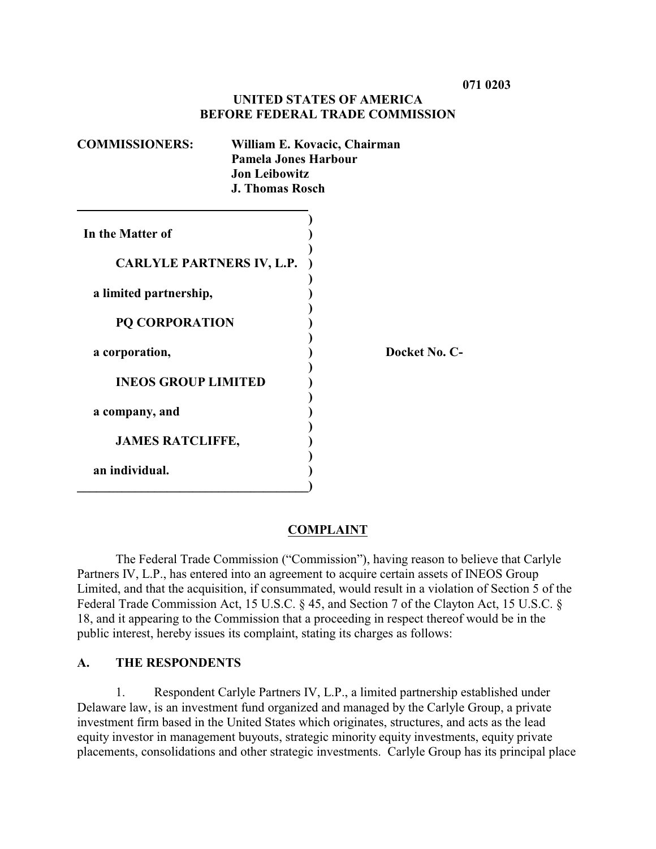## **UNITED STATES OF AMERICA BEFORE FEDERAL TRADE COMMISSION**

| <b>COMMISSIONERS:</b>            | William E. Kovacic, Chairman<br>Pamela Jones Harbour<br><b>Jon Leibowitz</b><br><b>J. Thomas Rosch</b> |               |
|----------------------------------|--------------------------------------------------------------------------------------------------------|---------------|
| In the Matter of                 |                                                                                                        |               |
| <b>CARLYLE PARTNERS IV, L.P.</b> |                                                                                                        |               |
| a limited partnership,           |                                                                                                        |               |
| <b>PQ CORPORATION</b>            |                                                                                                        |               |
| a corporation,                   |                                                                                                        | Docket No. C- |
| <b>INEOS GROUP LIMITED</b>       |                                                                                                        |               |
| a company, and                   |                                                                                                        |               |
| <b>JAMES RATCLIFFE,</b>          |                                                                                                        |               |
| an individual.                   |                                                                                                        |               |

## **COMPLAINT**

The Federal Trade Commission ("Commission"), having reason to believe that Carlyle Partners IV, L.P., has entered into an agreement to acquire certain assets of INEOS Group Limited, and that the acquisition, if consummated, would result in a violation of Section 5 of the Federal Trade Commission Act, 15 U.S.C. § 45, and Section 7 of the Clayton Act, 15 U.S.C. § 18, and it appearing to the Commission that a proceeding in respect thereof would be in the public interest, hereby issues its complaint, stating its charges as follows:

### **A. THE RESPONDENTS**

1. Respondent Carlyle Partners IV, L.P., a limited partnership established under Delaware law, is an investment fund organized and managed by the Carlyle Group, a private investment firm based in the United States which originates, structures, and acts as the lead equity investor in management buyouts, strategic minority equity investments, equity private placements, consolidations and other strategic investments. Carlyle Group has its principal place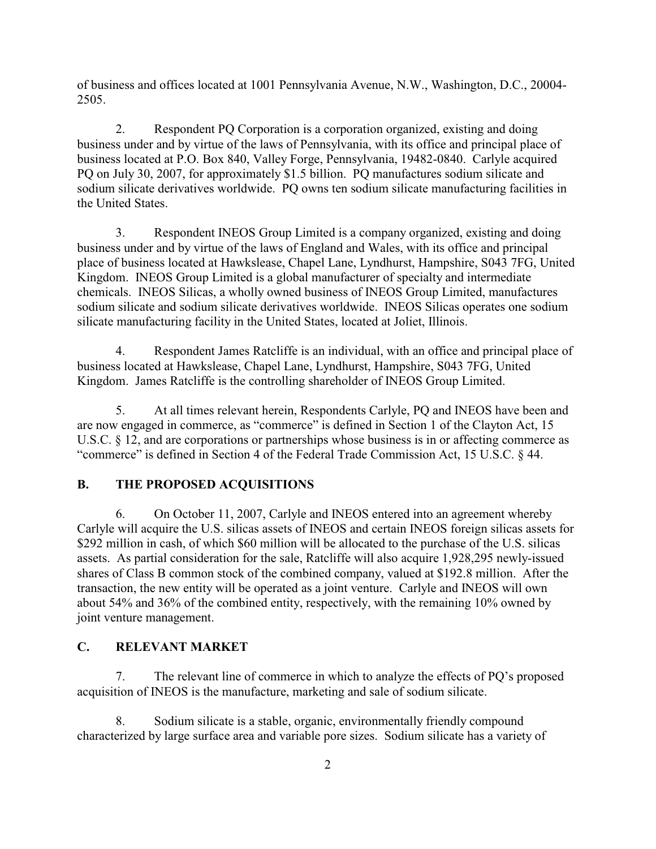of business and offices located at 1001 Pennsylvania Avenue, N.W., Washington, D.C., 20004- 2505.

2. Respondent PQ Corporation is a corporation organized, existing and doing business under and by virtue of the laws of Pennsylvania, with its office and principal place of business located at P.O. Box 840, Valley Forge, Pennsylvania, 19482-0840. Carlyle acquired PQ on July 30, 2007, for approximately \$1.5 billion. PQ manufactures sodium silicate and sodium silicate derivatives worldwide. PQ owns ten sodium silicate manufacturing facilities in the United States.

3. Respondent INEOS Group Limited is a company organized, existing and doing business under and by virtue of the laws of England and Wales, with its office and principal place of business located at Hawkslease, Chapel Lane, Lyndhurst, Hampshire, S043 7FG, United Kingdom. INEOS Group Limited is a global manufacturer of specialty and intermediate chemicals. INEOS Silicas, a wholly owned business of INEOS Group Limited, manufactures sodium silicate and sodium silicate derivatives worldwide. INEOS Silicas operates one sodium silicate manufacturing facility in the United States, located at Joliet, Illinois.

4. Respondent James Ratcliffe is an individual, with an office and principal place of business located at Hawkslease, Chapel Lane, Lyndhurst, Hampshire, S043 7FG, United Kingdom. James Ratcliffe is the controlling shareholder of INEOS Group Limited.

5. At all times relevant herein, Respondents Carlyle, PQ and INEOS have been and are now engaged in commerce, as "commerce" is defined in Section 1 of the Clayton Act, 15 U.S.C. § 12, and are corporations or partnerships whose business is in or affecting commerce as "commerce" is defined in Section 4 of the Federal Trade Commission Act, 15 U.S.C. § 44.

## **B. THE PROPOSED ACQUISITIONS**

6. On October 11, 2007, Carlyle and INEOS entered into an agreement whereby Carlyle will acquire the U.S. silicas assets of INEOS and certain INEOS foreign silicas assets for \$292 million in cash, of which \$60 million will be allocated to the purchase of the U.S. silicas assets. As partial consideration for the sale, Ratcliffe will also acquire 1,928,295 newly-issued shares of Class B common stock of the combined company, valued at \$192.8 million. After the transaction, the new entity will be operated as a joint venture. Carlyle and INEOS will own about 54% and 36% of the combined entity, respectively, with the remaining 10% owned by joint venture management.

#### **C. RELEVANT MARKET**

7. The relevant line of commerce in which to analyze the effects of PQ's proposed acquisition of INEOS is the manufacture, marketing and sale of sodium silicate.

8. Sodium silicate is a stable, organic, environmentally friendly compound characterized by large surface area and variable pore sizes. Sodium silicate has a variety of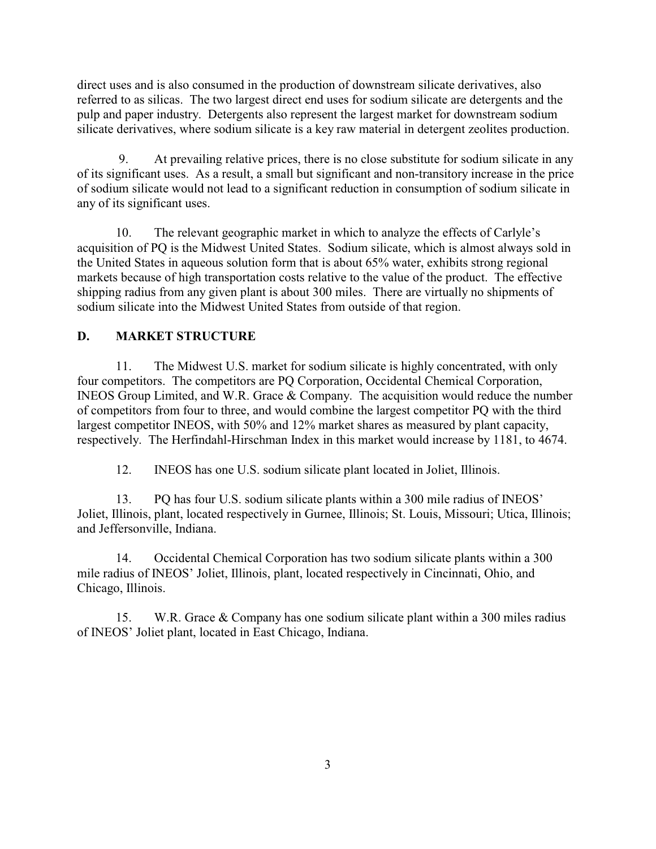direct uses and is also consumed in the production of downstream silicate derivatives, also referred to as silicas. The two largest direct end uses for sodium silicate are detergents and the pulp and paper industry. Detergents also represent the largest market for downstream sodium silicate derivatives, where sodium silicate is a key raw material in detergent zeolites production.

 9. At prevailing relative prices, there is no close substitute for sodium silicate in any of its significant uses. As a result, a small but significant and non-transitory increase in the price of sodium silicate would not lead to a significant reduction in consumption of sodium silicate in any of its significant uses.

10. The relevant geographic market in which to analyze the effects of Carlyle's acquisition of PQ is the Midwest United States. Sodium silicate, which is almost always sold in the United States in aqueous solution form that is about 65% water, exhibits strong regional markets because of high transportation costs relative to the value of the product. The effective shipping radius from any given plant is about 300 miles. There are virtually no shipments of sodium silicate into the Midwest United States from outside of that region.

# **D. MARKET STRUCTURE**

11. The Midwest U.S. market for sodium silicate is highly concentrated, with only four competitors. The competitors are PQ Corporation, Occidental Chemical Corporation, INEOS Group Limited, and W.R. Grace & Company. The acquisition would reduce the number of competitors from four to three, and would combine the largest competitor PQ with the third largest competitor INEOS, with 50% and 12% market shares as measured by plant capacity, respectively. The Herfindahl-Hirschman Index in this market would increase by 1181, to 4674.

12. INEOS has one U.S. sodium silicate plant located in Joliet, Illinois.

13. PQ has four U.S. sodium silicate plants within a 300 mile radius of INEOS' Joliet, Illinois, plant, located respectively in Gurnee, Illinois; St. Louis, Missouri; Utica, Illinois; and Jeffersonville, Indiana.

14. Occidental Chemical Corporation has two sodium silicate plants within a 300 mile radius of INEOS' Joliet, Illinois, plant, located respectively in Cincinnati, Ohio, and Chicago, Illinois.

15. W.R. Grace & Company has one sodium silicate plant within a 300 miles radius of INEOS' Joliet plant, located in East Chicago, Indiana.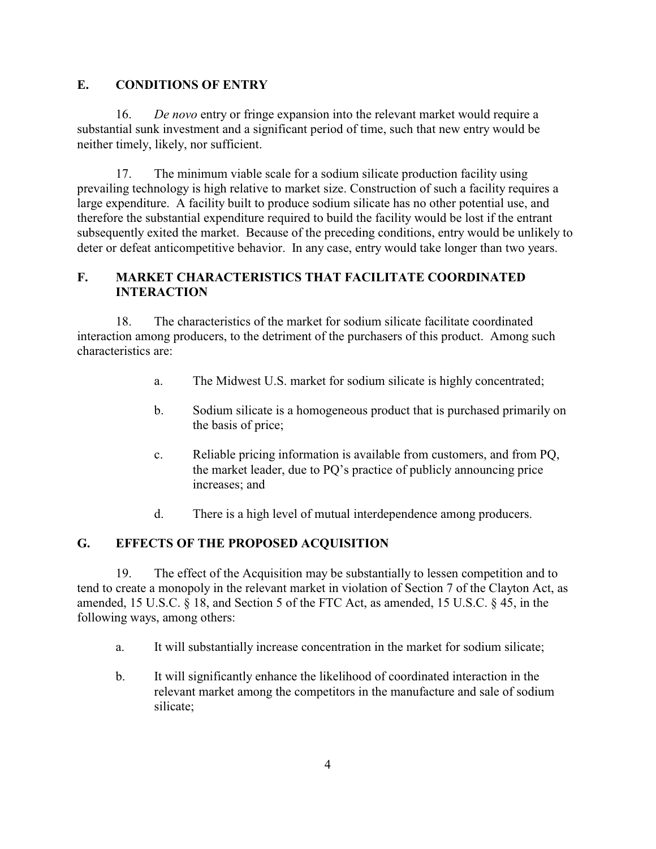# **E. CONDITIONS OF ENTRY**

16. *De novo* entry or fringe expansion into the relevant market would require a substantial sunk investment and a significant period of time, such that new entry would be neither timely, likely, nor sufficient.

17. The minimum viable scale for a sodium silicate production facility using prevailing technology is high relative to market size. Construction of such a facility requires a large expenditure. A facility built to produce sodium silicate has no other potential use, and therefore the substantial expenditure required to build the facility would be lost if the entrant subsequently exited the market. Because of the preceding conditions, entry would be unlikely to deter or defeat anticompetitive behavior. In any case, entry would take longer than two years.

## **F. MARKET CHARACTERISTICS THAT FACILITATE COORDINATED INTERACTION**

18. The characteristics of the market for sodium silicate facilitate coordinated interaction among producers, to the detriment of the purchasers of this product. Among such characteristics are:

- a. The Midwest U.S. market for sodium silicate is highly concentrated;
- b. Sodium silicate is a homogeneous product that is purchased primarily on the basis of price;
- c. Reliable pricing information is available from customers, and from PQ, the market leader, due to PQ's practice of publicly announcing price increases; and
- d. There is a high level of mutual interdependence among producers.

# **G. EFFECTS OF THE PROPOSED ACQUISITION**

19. The effect of the Acquisition may be substantially to lessen competition and to tend to create a monopoly in the relevant market in violation of Section 7 of the Clayton Act, as amended, 15 U.S.C. § 18, and Section 5 of the FTC Act, as amended, 15 U.S.C. § 45, in the following ways, among others:

- a. It will substantially increase concentration in the market for sodium silicate;
- b. It will significantly enhance the likelihood of coordinated interaction in the relevant market among the competitors in the manufacture and sale of sodium silicate;